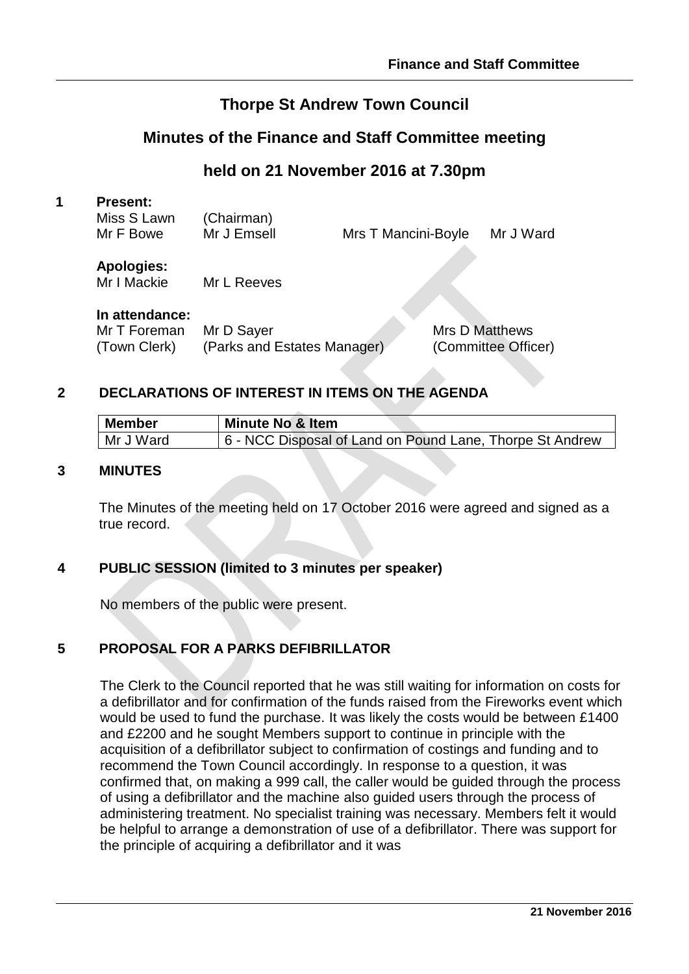# **Thorpe St Andrew Town Council**

# **Minutes of the Finance and Staff Committee meeting**

# **held on 21 November 2016 at 7.30pm**

#### **1 Present:**

| Miss S Lawn<br>Mr F Bowe | (Chairman)<br>Mr J Emsell | Mrs T Mancini-Boyle | Mr J Ward |
|--------------------------|---------------------------|---------------------|-----------|
| Anglesiac.               |                           |                     |           |

#### **Apologies:**

Mr I Mackie Mr L Reeves

#### **In attendance:**

| Mr T Foreman | Mr D Sayer                  | <b>Mrs D Matthews</b> |
|--------------|-----------------------------|-----------------------|
| (Town Clerk) | (Parks and Estates Manager) | (Committee Officer)   |

### **2 DECLARATIONS OF INTEREST IN ITEMS ON THE AGENDA**

| Member    | Minute No & Item                                         |
|-----------|----------------------------------------------------------|
| Mr J Ward | 6 - NCC Disposal of Land on Pound Lane, Thorpe St Andrew |

#### **3 MINUTES**

The Minutes of the meeting held on 17 October 2016 were agreed and signed as a true record.

#### **4 PUBLIC SESSION (limited to 3 minutes per speaker)**

No members of the public were present.

## **5 PROPOSAL FOR A PARKS DEFIBRILLATOR**

The Clerk to the Council reported that he was still waiting for information on costs for a defibrillator and for confirmation of the funds raised from the Fireworks event which would be used to fund the purchase. It was likely the costs would be between £1400 and £2200 and he sought Members support to continue in principle with the acquisition of a defibrillator subject to confirmation of costings and funding and to recommend the Town Council accordingly. In response to a question, it was confirmed that, on making a 999 call, the caller would be guided through the process of using a defibrillator and the machine also guided users through the process of administering treatment. No specialist training was necessary. Members felt it would be helpful to arrange a demonstration of use of a defibrillator. There was support for the principle of acquiring a defibrillator and it was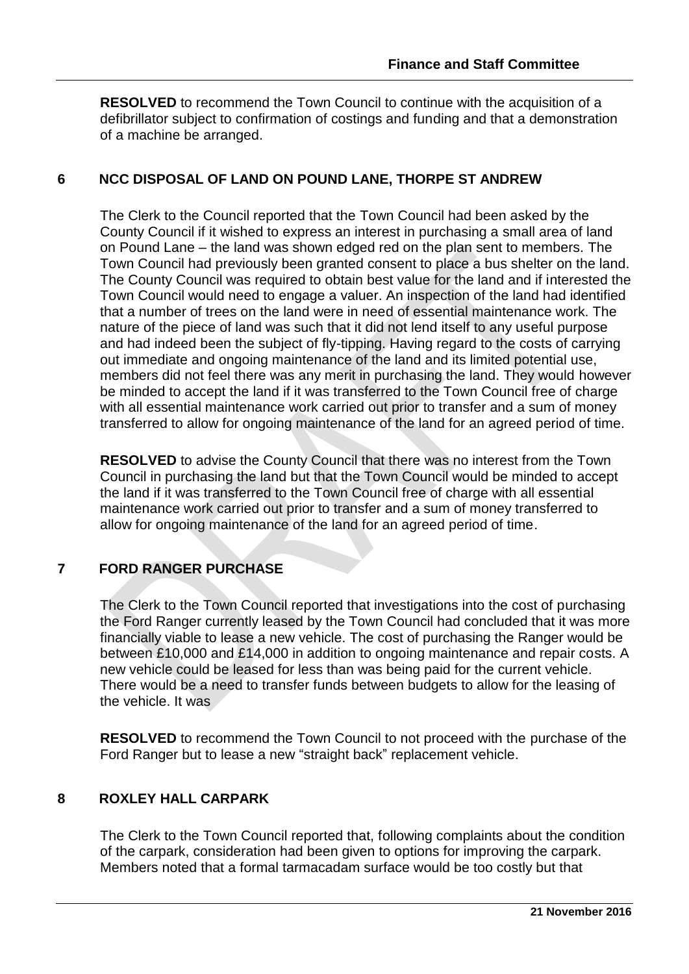**RESOLVED** to recommend the Town Council to continue with the acquisition of a defibrillator subject to confirmation of costings and funding and that a demonstration of a machine be arranged.

#### **6 NCC DISPOSAL OF LAND ON POUND LANE, THORPE ST ANDREW**

The Clerk to the Council reported that the Town Council had been asked by the County Council if it wished to express an interest in purchasing a small area of land on Pound Lane – the land was shown edged red on the plan sent to members. The Town Council had previously been granted consent to place a bus shelter on the land. The County Council was required to obtain best value for the land and if interested the Town Council would need to engage a valuer. An inspection of the land had identified that a number of trees on the land were in need of essential maintenance work. The nature of the piece of land was such that it did not lend itself to any useful purpose and had indeed been the subject of fly-tipping. Having regard to the costs of carrying out immediate and ongoing maintenance of the land and its limited potential use, members did not feel there was any merit in purchasing the land. They would however be minded to accept the land if it was transferred to the Town Council free of charge with all essential maintenance work carried out prior to transfer and a sum of money transferred to allow for ongoing maintenance of the land for an agreed period of time.

**RESOLVED** to advise the County Council that there was no interest from the Town Council in purchasing the land but that the Town Council would be minded to accept the land if it was transferred to the Town Council free of charge with all essential maintenance work carried out prior to transfer and a sum of money transferred to allow for ongoing maintenance of the land for an agreed period of time.

## **7 FORD RANGER PURCHASE**

The Clerk to the Town Council reported that investigations into the cost of purchasing the Ford Ranger currently leased by the Town Council had concluded that it was more financially viable to lease a new vehicle. The cost of purchasing the Ranger would be between £10,000 and £14,000 in addition to ongoing maintenance and repair costs. A new vehicle could be leased for less than was being paid for the current vehicle. There would be a need to transfer funds between budgets to allow for the leasing of the vehicle. It was

**RESOLVED** to recommend the Town Council to not proceed with the purchase of the Ford Ranger but to lease a new "straight back" replacement vehicle.

#### **8 ROXLEY HALL CARPARK**

The Clerk to the Town Council reported that, following complaints about the condition of the carpark, consideration had been given to options for improving the carpark. Members noted that a formal tarmacadam surface would be too costly but that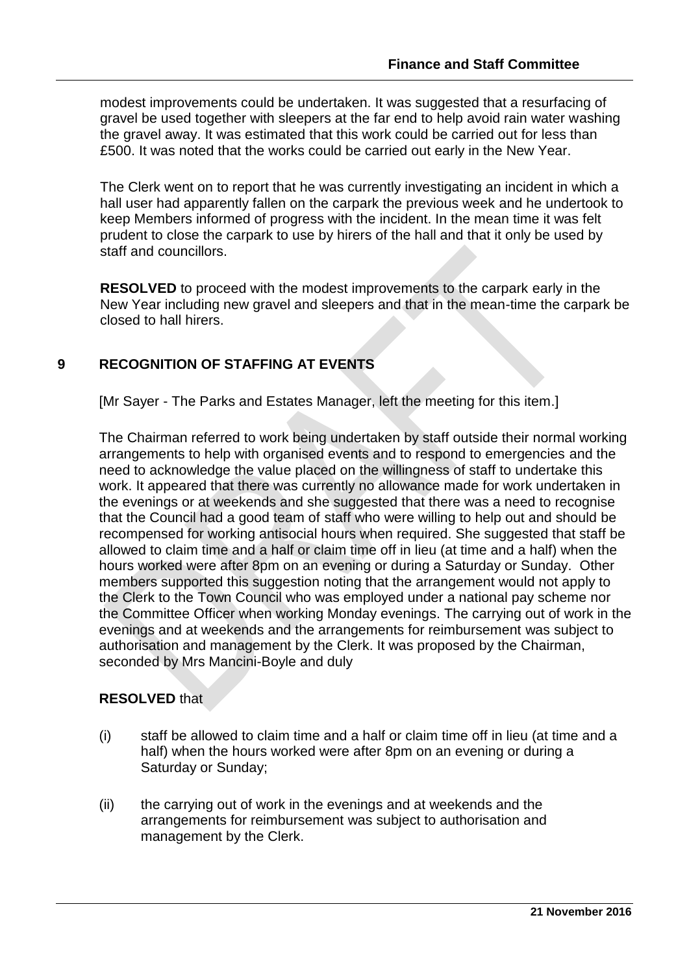modest improvements could be undertaken. It was suggested that a resurfacing of gravel be used together with sleepers at the far end to help avoid rain water washing the gravel away. It was estimated that this work could be carried out for less than £500. It was noted that the works could be carried out early in the New Year.

The Clerk went on to report that he was currently investigating an incident in which a hall user had apparently fallen on the carpark the previous week and he undertook to keep Members informed of progress with the incident. In the mean time it was felt prudent to close the carpark to use by hirers of the hall and that it only be used by staff and councillors.

**RESOLVED** to proceed with the modest improvements to the carpark early in the New Year including new gravel and sleepers and that in the mean-time the carpark be closed to hall hirers.

#### **9 RECOGNITION OF STAFFING AT EVENTS**

[Mr Sayer - The Parks and Estates Manager, left the meeting for this item.]

The Chairman referred to work being undertaken by staff outside their normal working arrangements to help with organised events and to respond to emergencies and the need to acknowledge the value placed on the willingness of staff to undertake this work. It appeared that there was currently no allowance made for work undertaken in the evenings or at weekends and she suggested that there was a need to recognise that the Council had a good team of staff who were willing to help out and should be recompensed for working antisocial hours when required. She suggested that staff be allowed to claim time and a half or claim time off in lieu (at time and a half) when the hours worked were after 8pm on an evening or during a Saturday or Sunday. Other members supported this suggestion noting that the arrangement would not apply to the Clerk to the Town Council who was employed under a national pay scheme nor the Committee Officer when working Monday evenings. The carrying out of work in the evenings and at weekends and the arrangements for reimbursement was subject to authorisation and management by the Clerk. It was proposed by the Chairman, seconded by Mrs Mancini-Boyle and duly

#### **RESOLVED** that

- (i) staff be allowed to claim time and a half or claim time off in lieu (at time and a half) when the hours worked were after 8pm on an evening or during a Saturday or Sunday;
- (ii) the carrying out of work in the evenings and at weekends and the arrangements for reimbursement was subject to authorisation and management by the Clerk.